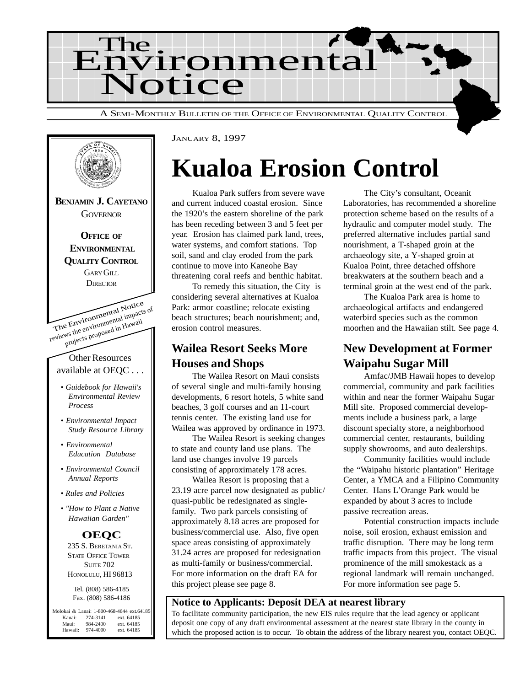



## **Kualoa Erosion Control**

Kualoa Park suffers from severe wave and current induced coastal erosion. Since the 1920's the eastern shoreline of the park has been receding between 3 and 5 feet per year. Erosion has claimed park land, trees, water systems, and comfort stations. Top soil, sand and clay eroded from the park continue to move into Kaneohe Bay threatening coral reefs and benthic habitat.

To remedy this situation, the City is considering several alternatives at Kualoa Park: armor coastline; relocate existing beach structures; beach nourishment; and, erosion control measures.

### **Wailea Resort Seeks More Houses and Shops**

The Wailea Resort on Maui consists of several single and multi-family housing developments, 6 resort hotels, 5 white sand beaches, 3 golf courses and an 11-court tennis center. The existing land use for Wailea was approved by ordinance in 1973.

The Wailea Resort is seeking changes to state and county land use plans. The land use changes involve 19 parcels consisting of approximately 178 acres.

Wailea Resort is proposing that a 23.19 acre parcel now designated as public/ quasi-public be redesignated as singlefamily. Two park parcels consisting of approximately 8.18 acres are proposed for business/commercial use. Also, five open space areas consisting of approximately 31.24 acres are proposed for redesignation as multi-family or business/commercial. For more information on the draft EA for this project please see page 8.

The City's consultant, Oceanit Laboratories, has recommended a shoreline protection scheme based on the results of a hydraulic and computer model study. The preferred alternative includes partial sand nourishment, a T-shaped groin at the archaeology site, a Y-shaped groin at Kualoa Point, three detached offshore breakwaters at the southern beach and a terminal groin at the west end of the park.

The Kualoa Park area is home to archaeological artifacts and endangered waterbird species such as the common moorhen and the Hawaiian stilt. See page 4.

### **New Development at Former Waipahu Sugar Mill**

Amfac/JMB Hawaii hopes to develop commercial, community and park facilities within and near the former Waipahu Sugar Mill site. Proposed commercial developments include a business park, a large discount specialty store, a neighborhood commercial center, restaurants, building supply showrooms, and auto dealerships.

Community facilities would include the "Waipahu historic plantation" Heritage Center, a YMCA and a Filipino Community Center. Hans L'Orange Park would be expanded by about 3 acres to include passive recreation areas.

Potential construction impacts include noise, soil erosion, exhaust emission and traffic disruption. There may be long term traffic impacts from this project. The visual prominence of the mill smokestack as a regional landmark will remain unchanged. For more information see page 5.

#### **Notice to Applicants: Deposit DEA at nearest library**

To facilitate community participation, the new EIS rules require that the lead agency or applicant deposit one copy of any draft environmental assessment at the nearest state library in the county in which the proposed action is to occur. To obtain the address of the library nearest you, contact OEQC.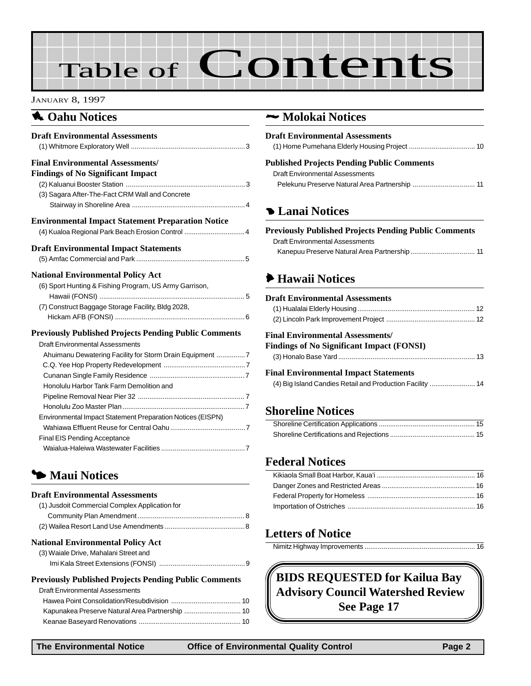# Table of Contents

#### JANUARY 8, 1997

### **1** Oahu Notices

| <b>Draft Environmental Assessments</b>                                                                                                                                                                                                                                                                       |
|--------------------------------------------------------------------------------------------------------------------------------------------------------------------------------------------------------------------------------------------------------------------------------------------------------------|
| <b>Final Environmental Assessments/</b><br><b>Findings of No Significant Impact</b><br>(3) Sagara After-The-Fact CRM Wall and Concrete                                                                                                                                                                       |
| <b>Environmental Impact Statement Preparation Notice</b><br>(4) Kualoa Regional Park Beach Erosion Control  4                                                                                                                                                                                                |
| <b>Draft Environmental Impact Statements</b>                                                                                                                                                                                                                                                                 |
| <b>National Environmental Policy Act</b><br>(6) Sport Hunting & Fishing Program, US Army Garrison,<br>(7) Construct Baggage Storage Facility, Bldg 2028,                                                                                                                                                     |
| <b>Previously Published Projects Pending Public Comments</b><br>Draft Environmental Assessments<br>Ahuimanu Dewatering Facility for Storm Drain Equipment 7<br>Honolulu Harbor Tank Farm Demolition and<br>Environmental Impact Statement Preparation Notices (EISPN)<br><b>Final EIS Pending Acceptance</b> |

### 3 **Maui Notices**

#### **Draft Environmental Assessments**

| (1) Jusdoit Commercial Complex Application for |  |
|------------------------------------------------|--|
|                                                |  |
|                                                |  |
|                                                |  |

### **National Environmental Policy Act**

| (3) Waiale Drive, Mahalani Street and |
|---------------------------------------|
|                                       |

#### **Previously Published Projects Pending Public Comments**

| <b>Draft Environmental Assessments</b> |
|----------------------------------------|
|                                        |
|                                        |
|                                        |

### 2 **Molokai Notices**

| <b>Draft Environmental Assessments</b>     |  |
|--------------------------------------------|--|
|                                            |  |
| Published Projects Pending Public Comments |  |
| Draft Environmental Assessments            |  |

Pelekunu Preserve Natural Area Partnership ................................. 11

### 4 **Lanai Notices**

#### **Previously Published Projects Pending Public Comments** Draft Environmental Assessments

### 6 **Hawaii Notices**

#### **Draft Environmental Assessments** [\(1\) Hualalai Elderly Housing.............................................................. 12](#page-11-0)

#### **Final Environmental Assessments/**

#### **Findings of No Significant Impact (FONSI)** [\(3\) Honalo Base Yard........................................................................ 13](#page-12-0)

### **Final Environmental Impact Statements**

| (4) Big Island Candies Retail and Production Facility  14 |  |
|-----------------------------------------------------------|--|
|-----------------------------------------------------------|--|

### **Shoreline Notices**

### **Federal Notices**

### **Letters of Notice**

|--|--|

**BIDS REQUESTED for Kailua Bay Advisory Council Watershed Review See Page 17**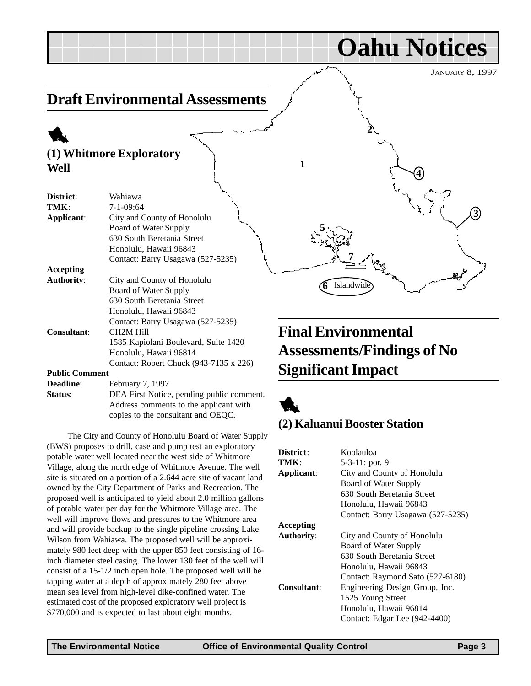#### <span id="page-2-0"></span>JANUARY 8, 1997 **Oahu Notices Draft Environmental Assessments** 1 **(1) Whitmore Exploratory Well District**: Wahiawa **TMK**: 7-1-09:64 **Applicant**: City and County of Honolulu Board of Water Supply 630 South Beretania Street Honolulu, Hawaii 96843 Contact: Barry Usagawa (527-5235) **Accepting Authority**: City and County of Honolulu Board of Water Supply 630 South Beretania Street Honolulu, Hawaii 96843 Contact: Barry Usagawa (527-5235) **Consultant**: CH2M Hill 1585 Kapiolani Boulevard, Suite 1420 Honolulu, Hawaii 96814 Contact: Robert Chuck (943-7135 x 226) **Public Comment Final Environmental Assessments/Findings of No Significant Impact 1 2 3 4 5 7 6** Islandwide

**Deadline**: February 7, 1997 **Status**: DEA First Notice, pending public comment. Address comments to the applicant with copies to the consultant and OEQC.

The City and County of Honolulu Board of Water Supply (BWS) proposes to drill, case and pump test an exploratory potable water well located near the west side of Whitmore Village, along the north edge of Whitmore Avenue. The well site is situated on a portion of a 2.644 acre site of vacant land owned by the City Department of Parks and Recreation. The proposed well is anticipated to yield about 2.0 million gallons of potable water per day for the Whitmore Village area. The well will improve flows and pressures to the Whitmore area and will provide backup to the single pipeline crossing Lake Wilson from Wahiawa. The proposed well will be approximately 980 feet deep with the upper 850 feet consisting of 16 inch diameter steel casing. The lower 130 feet of the well will consist of a 15-1/2 inch open hole. The proposed well will be tapping water at a depth of approximately 280 feet above mean sea level from high-level dike-confined water. The estimated cost of the proposed exploratory well project is \$770,000 and is expected to last about eight months.



### **(2) Kaluanui Booster Station**

| District:          | Koolauloa                         |
|--------------------|-----------------------------------|
| TMK:               | 5-3-11: por. 9                    |
| Applicant:         | City and County of Honolulu       |
|                    | Board of Water Supply             |
|                    | 630 South Beretania Street        |
|                    | Honolulu, Hawaii 96843            |
|                    | Contact: Barry Usagawa (527-5235) |
| Accepting          |                                   |
| <b>Authority:</b>  | City and County of Honolulu       |
|                    | Board of Water Supply             |
|                    | 630 South Beretania Street        |
|                    | Honolulu, Hawaii 96843            |
|                    | Contact: Raymond Sato (527-6180)  |
| <b>Consultant:</b> | Engineering Design Group, Inc.    |
|                    | 1525 Young Street                 |
|                    | Honolulu, Hawaii 96814            |
|                    | Contact: Edgar Lee (942-4400)     |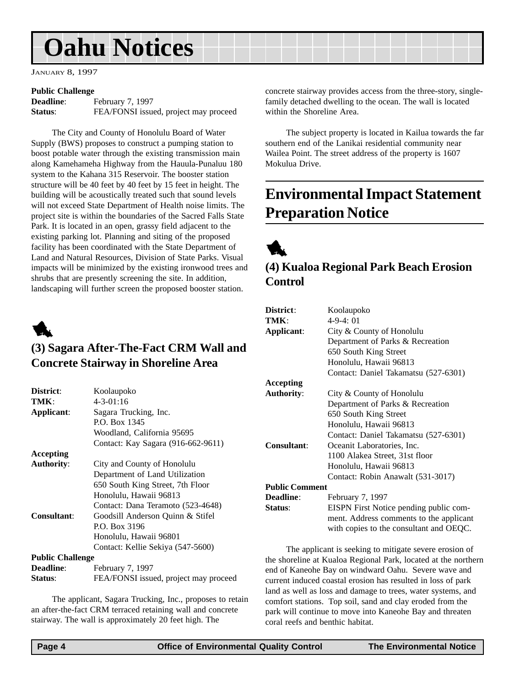<span id="page-3-0"></span>JANUARY 8, 1997

#### **Public Challenge**

| <b>Deadline:</b> | February 7, 1997                      |
|------------------|---------------------------------------|
| Status:          | FEA/FONSI issued, project may proceed |

The City and County of Honolulu Board of Water Supply (BWS) proposes to construct a pumping station to boost potable water through the existing transmission main along Kamehameha Highway from the Hauula-Punaluu 180 system to the Kahana 315 Reservoir. The booster station structure will be 40 feet by 40 feet by 15 feet in height. The building will be acoustically treated such that sound levels will not exceed State Department of Health noise limits. The project site is within the boundaries of the Sacred Falls State Park. It is located in an open, grassy field adjacent to the existing parking lot. Planning and siting of the proposed facility has been coordinated with the State Department of Land and Natural Resources, Division of State Parks. Visual impacts will be minimized by the existing ironwood trees and shrubs that are presently screening the site. In addition, landscaping will further screen the proposed booster station.



### **(3) Sagara After-The-Fact CRM Wall and Concrete Stairway in Shoreline Area**

| District:               | Koolaupoko                            |
|-------------------------|---------------------------------------|
| TMK:                    | $4 - 3 - 01:16$                       |
| Applicant:              | Sagara Trucking, Inc.                 |
|                         | P.O. Box 1345                         |
|                         | Woodland, California 95695            |
|                         | Contact: Kay Sagara (916-662-9611)    |
| Accepting               |                                       |
| <b>Authority:</b>       | City and County of Honolulu           |
|                         | Department of Land Utilization        |
|                         | 650 South King Street, 7th Floor      |
|                         | Honolulu, Hawaii 96813                |
|                         | Contact: Dana Teramoto (523-4648)     |
| Consultant:             | Goodsill Anderson Quinn & Stifel      |
|                         | P.O. Box 3196                         |
|                         | Honolulu, Hawaii 96801                |
|                         | Contact: Kellie Sekiya (547-5600)     |
| <b>Public Challenge</b> |                                       |
| <b>Deadline:</b>        | February 7, 1997                      |
| Status:                 | FEA/FONSI issued, project may proceed |

The applicant, Sagara Trucking, Inc., proposes to retain an after-the-fact CRM terraced retaining wall and concrete stairway. The wall is approximately 20 feet high. The

concrete stairway provides access from the three-story, singlefamily detached dwelling to the ocean. The wall is located within the Shoreline Area.

The subject property is located in Kailua towards the far southern end of the Lanikai residential community near Wailea Point. The street address of the property is 1607 Mokulua Drive.

### **Environmental Impact Statement Preparation Notice**

1

### **(4) Kualoa Regional Park Beach Erosion Control**

| District:             | Koolaupoko                              |
|-----------------------|-----------------------------------------|
| TMK:                  | $4-9-4:01$                              |
| Applicant:            | City & County of Honolulu               |
|                       | Department of Parks & Recreation        |
|                       | 650 South King Street                   |
|                       | Honolulu, Hawaii 96813                  |
|                       | Contact: Daniel Takamatsu (527-6301)    |
| <b>Accepting</b>      |                                         |
| <b>Authority:</b>     | City & County of Honolulu               |
|                       | Department of Parks & Recreation        |
|                       | 650 South King Street                   |
|                       | Honolulu, Hawaii 96813                  |
|                       | Contact: Daniel Takamatsu (527-6301)    |
| Consultant:           | Oceanit Laboratories, Inc.              |
|                       | 1100 Alakea Street, 31st floor          |
|                       | Honolulu, Hawaii 96813                  |
|                       | Contact: Robin Anawalt (531-3017)       |
| <b>Public Comment</b> |                                         |
| <b>Deadline:</b>      | February 7, 1997                        |
| Status:               | EISPN First Notice pending public com-  |
|                       | ment. Address comments to the applicant |
|                       | with copies to the consultant and OEQC. |

The applicant is seeking to mitigate severe erosion of the shoreline at Kualoa Regional Park, located at the northern end of Kaneohe Bay on windward Oahu. Severe wave and current induced coastal erosion has resulted in loss of park land as well as loss and damage to trees, water systems, and comfort stations. Top soil, sand and clay eroded from the park will continue to move into Kaneohe Bay and threaten coral reefs and benthic habitat.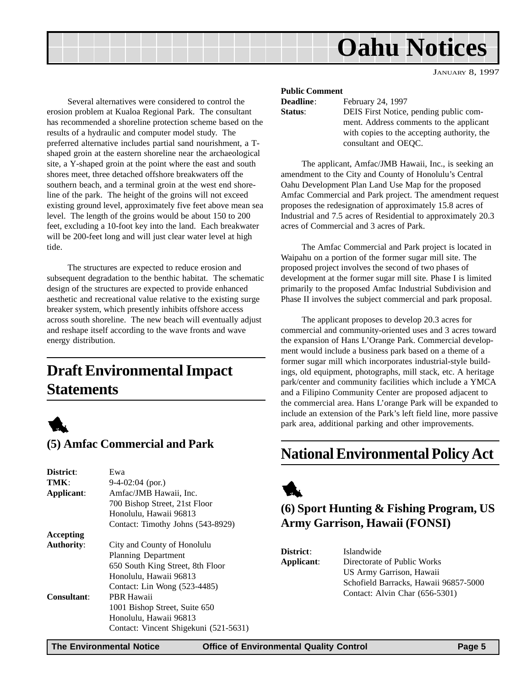JANUARY 8, 1997

<span id="page-4-0"></span>Several alternatives were considered to control the erosion problem at Kualoa Regional Park. The consultant has recommended a shoreline protection scheme based on the results of a hydraulic and computer model study. The preferred alternative includes partial sand nourishment, a Tshaped groin at the eastern shoreline near the archaeological site, a Y-shaped groin at the point where the east and south shores meet, three detached offshore breakwaters off the southern beach, and a terminal groin at the west end shoreline of the park. The height of the groins will not exceed existing ground level, approximately five feet above mean sea level. The length of the groins would be about 150 to 200 feet, excluding a 10-foot key into the land. Each breakwater will be 200-feet long and will just clear water level at high tide.

The structures are expected to reduce erosion and subsequent degradation to the benthic habitat. The schematic design of the structures are expected to provide enhanced aesthetic and recreational value relative to the existing surge breaker system, which presently inhibits offshore access across south shoreline. The new beach will eventually adjust and reshape itself according to the wave fronts and wave energy distribution.

### **Draft Environmental Impact Statements**



### **(5) Amfac Commercial and Park**

| District:         | Ewa                                   |
|-------------------|---------------------------------------|
| TMK:              | $9-4-02:04$ (por.)                    |
| Applicant:        | Amfac/JMB Hawaii, Inc.                |
|                   | 700 Bishop Street, 21st Floor         |
|                   | Honolulu, Hawaii 96813                |
|                   | Contact: Timothy Johns (543-8929)     |
| Accepting         |                                       |
| <b>Authority:</b> | City and County of Honolulu           |
|                   | <b>Planning Department</b>            |
|                   | 650 South King Street, 8th Floor      |
|                   | Honolulu, Hawaii 96813                |
|                   | Contact: Lin Wong (523-4485)          |
| Consultant:       | PBR Hawaii                            |
|                   | 1001 Bishop Street, Suite 650         |
|                   | Honolulu, Hawaii 96813                |
|                   | Contact: Vincent Shigekuni (521-5631) |

#### **Public Comment**

| Deadline:<br>Status: | February 24, 1997<br>DEIS First Notice, pending public com-<br>ment. Address comments to the applicant<br>with copies to the accepting authority, the |
|----------------------|-------------------------------------------------------------------------------------------------------------------------------------------------------|
|                      | consultant and OEQC.                                                                                                                                  |

The applicant, Amfac/JMB Hawaii, Inc., is seeking an amendment to the City and County of Honolulu's Central Oahu Development Plan Land Use Map for the proposed Amfac Commercial and Park project. The amendment request proposes the redesignation of approximately 15.8 acres of Industrial and 7.5 acres of Residential to approximately 20.3 acres of Commercial and 3 acres of Park.

The Amfac Commercial and Park project is located in Waipahu on a portion of the former sugar mill site. The proposed project involves the second of two phases of development at the former sugar mill site. Phase I is limited primarily to the proposed Amfac Industrial Subdivision and Phase II involves the subject commercial and park proposal.

The applicant proposes to develop 20.3 acres for commercial and community-oriented uses and 3 acres toward the expansion of Hans L'Orange Park. Commercial development would include a business park based on a theme of a former sugar mill which incorporates industrial-style buildings, old equipment, photographs, mill stack, etc. A heritage park/center and community facilities which include a YMCA and a Filipino Community Center are proposed adjacent to the commercial area. Hans L'orange Park will be expanded to include an extension of the Park's left field line, more passive park area, additional parking and other improvements.

### **National Environmental Policy Act**



### **(6) Sport Hunting & Fishing Program, US Army Garrison, Hawaii (FONSI)**

| <b>District</b> : | Islandwide                            |
|-------------------|---------------------------------------|
| Applicant:        | Directorate of Public Works           |
|                   | US Army Garrison, Hawaii              |
|                   | Schofield Barracks, Hawaii 96857-5000 |
|                   | Contact: Alvin Char (656-5301)        |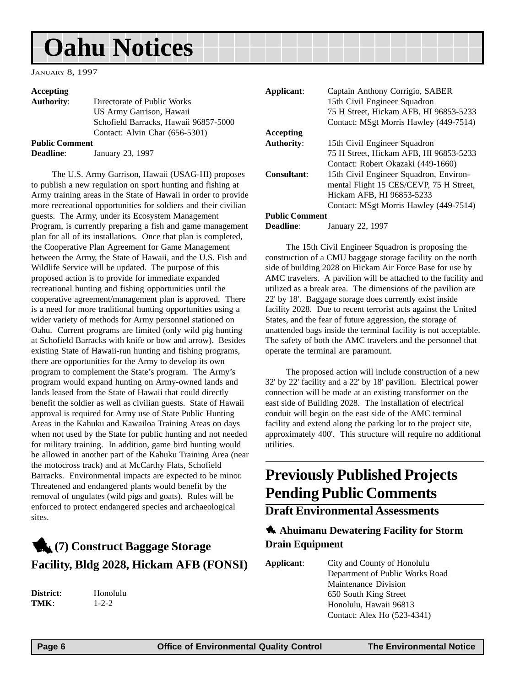<span id="page-5-0"></span>JANUARY 8, 1997

#### **Accepting**

**Authority**: Directorate of Public Works US Army Garrison, Hawaii Schofield Barracks, Hawaii 96857-5000 Contact: Alvin Char (656-5301)

**Public Comment**

**Deadline**: January 23, 1997

The U.S. Army Garrison, Hawaii (USAG-HI) proposes to publish a new regulation on sport hunting and fishing at Army training areas in the State of Hawaii in order to provide more recreational opportunities for soldiers and their civilian guests. The Army, under its Ecosystem Management Program, is currently preparing a fish and game management plan for all of its installations. Once that plan is completed, the Cooperative Plan Agreement for Game Management between the Army, the State of Hawaii, and the U.S. Fish and Wildlife Service will be updated. The purpose of this proposed action is to provide for immediate expanded recreational hunting and fishing opportunities until the cooperative agreement/management plan is approved. There is a need for more traditional hunting opportunities using a wider variety of methods for Army personnel stationed on Oahu. Current programs are limited (only wild pig hunting at Schofield Barracks with knife or bow and arrow). Besides existing State of Hawaii-run hunting and fishing programs, there are opportunities for the Army to develop its own program to complement the State's program. The Army's program would expand hunting on Army-owned lands and lands leased from the State of Hawaii that could directly benefit the soldier as well as civilian guests. State of Hawaii approval is required for Army use of State Public Hunting Areas in the Kahuku and Kawailoa Training Areas on days when not used by the State for public hunting and not needed for military training. In addition, game bird hunting would be allowed in another part of the Kahuku Training Area (near the motocross track) and at McCarthy Flats, Schofield Barracks. Environmental impacts are expected to be minor. Threatened and endangered plants would benefit by the removal of ungulates (wild pigs and goats). Rules will be enforced to protect endangered species and archaeological sites.

### 1**(7) Construct Baggage Storage Facility, Bldg 2028, Hickam AFB (FONSI)**

**District**: Honolulu **TMK**: 1-2-2

| Applicant:            | Captain Anthony Corrigio, SABER<br>15th Civil Engineer Squadron |
|-----------------------|-----------------------------------------------------------------|
|                       | 75 H Street, Hickam AFB, HI 96853-5233                          |
|                       | Contact: MSgt Morris Hawley (449-7514)                          |
| Accepting             |                                                                 |
| <b>Authority:</b>     | 15th Civil Engineer Squadron                                    |
|                       | 75 H Street, Hickam AFB, HI 96853-5233                          |
|                       | Contact: Robert Okazaki (449-1660)                              |
| Consultant:           | 15th Civil Engineer Squadron, Environ-                          |
|                       | mental Flight 15 CES/CEVP, 75 H Street,                         |
|                       | Hickam AFB, HI 96853-5233                                       |
|                       | Contact: MSgt Morris Hawley (449-7514)                          |
| <b>Public Comment</b> |                                                                 |
|                       |                                                                 |

**Deadline**: January 22, 1997

The 15th Civil Engineer Squadron is proposing the construction of a CMU baggage storage facility on the north side of building 2028 on Hickam Air Force Base for use by AMC travelers. A pavilion will be attached to the facility and utilized as a break area. The dimensions of the pavilion are 22' by 18'. Baggage storage does currently exist inside facility 2028. Due to recent terrorist acts against the United States, and the fear of future aggression, the storage of unattended bags inside the terminal facility is not acceptable. The safety of both the AMC travelers and the personnel that operate the terminal are paramount.

The proposed action will include construction of a new 32' by 22' facility and a 22' by 18' pavilion. Electrical power connection will be made at an existing transformer on the east side of Building 2028. The installation of electrical conduit will begin on the east side of the AMC terminal facility and extend along the parking lot to the project site, approximately 400'. This structure will require no additional utilities.

### **Previously Published Projects Pending Public Comments**

**Draft Environmental Assessments**

### **4. Ahuimanu Dewatering Facility for Storm Drain Equipment**

**Applicant**: City and County of Honolulu Department of Public Works Road Maintenance Division 650 South King Street Honolulu, Hawaii 96813 Contact: Alex Ho (523-4341)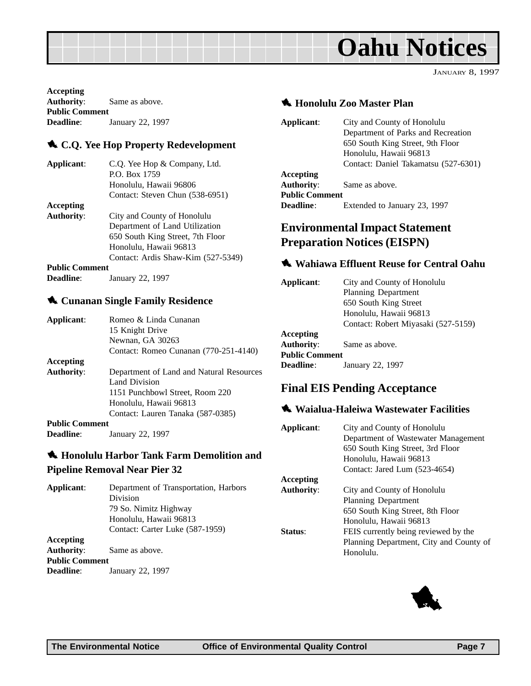JANUARY 8, 1997

<span id="page-6-0"></span>**Accepting Authority**: Same as above. **Public Comment Deadline**: January 22, 1997

### 1 **C.Q. Yee Hop Property Redevelopment**

| Applicant:            | C.Q. Yee Hop & Company, Ltd.       |
|-----------------------|------------------------------------|
|                       | P.O. Box 1759                      |
|                       | Honolulu, Hawaii 96806             |
|                       | Contact: Steven Chun (538-6951)    |
| Accepting             |                                    |
| <b>Authority:</b>     | City and County of Honolulu        |
|                       | Department of Land Utilization     |
|                       | 650 South King Street, 7th Floor   |
|                       | Honolulu, Hawaii 96813             |
|                       | Contact: Ardis Shaw-Kim (527-5349) |
| <b>Public Comment</b> |                                    |
| Deadline:             | January 22, 1997                   |

### **4 Cunanan Single Family Residence**

| Applicant:            | Romeo & Linda Cunanan                    |
|-----------------------|------------------------------------------|
|                       | 15 Knight Drive                          |
|                       | Newnan, GA 30263                         |
|                       | Contact: Romeo Cunanan (770-251-4140)    |
| Accepting             |                                          |
| <b>Authority:</b>     | Department of Land and Natural Resources |
|                       | Land Division                            |
|                       | 1151 Punchbowl Street, Room 220          |
|                       | Honolulu, Hawaii 96813                   |
|                       | Contact: Lauren Tanaka (587-0385)        |
| <b>Public Comment</b> |                                          |
| <b>Deadline:</b>      | January 22, 1997                         |

### 1 **Honolulu Harbor Tank Farm Demolition and Pipeline Removal Near Pier 32**

| Applicant:            | Department of Transportation, Harbors |
|-----------------------|---------------------------------------|
|                       | Division                              |
|                       | 79 So. Nimitz Highway                 |
|                       | Honolulu, Hawaii 96813                |
|                       | Contact: Carter Luke (587-1959)       |
| Accepting             |                                       |
| <b>Authority:</b>     | Same as above.                        |
| <b>Public Comment</b> |                                       |
| <b>Deadline:</b>      | January 22, 1997                      |
|                       |                                       |

### $\bigstar$  **Honolulu Zoo Master Plan**

| Applicant:            | City and County of Honolulu          |
|-----------------------|--------------------------------------|
|                       | Department of Parks and Recreation   |
|                       | 650 South King Street, 9th Floor     |
|                       | Honolulu, Hawaii 96813               |
|                       | Contact: Daniel Takamatsu (527-6301) |
| Accepting             |                                      |
| <b>Authority:</b>     | Same as above.                       |
| <b>Public Comment</b> |                                      |
| <b>Deadline:</b>      | Extended to January 23, 1997         |
|                       |                                      |

### **Environmental Impact Statement Preparation Notices (EISPN)**

### 1 **Wahiawa Effluent Reuse for Central Oahu**

| Applicant:            | City and County of Honolulu         |
|-----------------------|-------------------------------------|
|                       | <b>Planning Department</b>          |
|                       | 650 South King Street               |
|                       | Honolulu, Hawaii 96813              |
|                       | Contact: Robert Miyasaki (527-5159) |
| Accepting             |                                     |
| <b>Authority:</b>     | Same as above.                      |
| <b>Public Comment</b> |                                     |
| Deadline:             | January 22, 1997                    |
|                       |                                     |

### **Final EIS Pending Acceptance**

### $\triangle$  Waialua-Haleiwa Wastewater Facilities

| Applicant:        | City and County of Honolulu<br>Department of Wastewater Management<br>650 South King Street, 3rd Floor<br>Honolulu, Hawaii 96813<br>Contact: Jared Lum (523-4654) |
|-------------------|-------------------------------------------------------------------------------------------------------------------------------------------------------------------|
| Accepting         |                                                                                                                                                                   |
| <b>Authority:</b> | City and County of Honolulu                                                                                                                                       |
|                   | <b>Planning Department</b>                                                                                                                                        |
|                   | 650 South King Street, 8th Floor                                                                                                                                  |
|                   | Honolulu, Hawaii 96813                                                                                                                                            |
| Status:           | FEIS currently being reviewed by the                                                                                                                              |
|                   | Planning Department, City and County of                                                                                                                           |
|                   | Honolulu.                                                                                                                                                         |

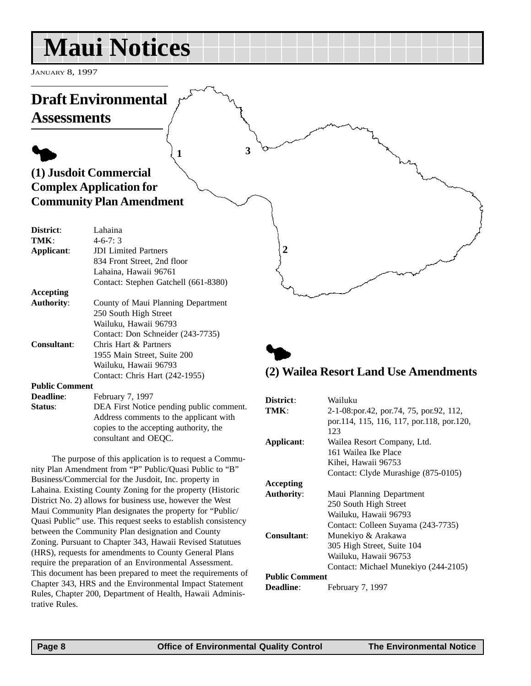## <span id="page-7-0"></span>**Maui Notices**

JANUARY 8, 1997

#### **Draft Environmental Assessments**  $\blacklozenge$ **(1) Jusdoit Commercial Complex Application for Community Plan Amendment District**: Lahaina **TMK**: 4-6-7: 3 **Applicant**: JDI Limited Partners 834 Front Street, 2nd floor Lahaina, Hawaii 96761 Contact: Stephen Gatchell (661-8380) **Accepting Authority**: County of Maui Planning Department 250 South High Street Wailuku, Hawaii 96793 Contact: Don Schneider (243-7735) **Consultant**: Chris Hart & Partners 1955 Main Street, Suite 200 Wailuku, Hawaii 96793 Contact: Chris Hart (242-1955) **Public Comment Deadline:** February 7, 1997 **Status:** DEA First Notice pending public comment. Address comments to the applicant with  $\blacklozenge$ **(2) Wailea Resort Land Use Amendments District**: Wailuku **TMK**: 2-1-08:por.42, por.74, 75, por.92, 112, **1 2 3**

The purpose of this application is to request a Community Plan Amendment from "P" Public/Quasi Public to "B" Business/Commercial for the Jusdoit, Inc. property in Lahaina. Existing County Zoning for the property (Historic District No. 2) allows for business use, however the West Maui Community Plan designates the property for "Public/ Quasi Public" use. This request seeks to establish consistency between the Community Plan designation and County Zoning. Pursuant to Chapter 343, Hawaii Revised Statutues (HRS), requests for amendments to County General Plans require the preparation of an Environmental Assessment. This document has been prepared to meet the requirements of Chapter 343, HRS and the Environmental Impact Statement Rules, Chapter 200, Department of Health, Hawaii Administrative Rules.

consultant and OEQC.

copies to the accepting authority, the

### por.114, 115, 116, 117, por.118, por.120, 123 **Applicant**: Wailea Resort Company, Ltd. 161 Wailea Ike Place Kihei, Hawaii 96753 Contact: Clyde Murashige (875-0105) **Accepting Authority**: Maui Planning Department 250 South High Street Wailuku, Hawaii 96793 Contact: Colleen Suyama (243-7735) **Consultant**: Munekiyo & Arakawa 305 High Street, Suite 104 Wailuku, Hawaii 96753 Contact: Michael Munekiyo (244-2105) **Public Comment Deadline**: February 7, 1997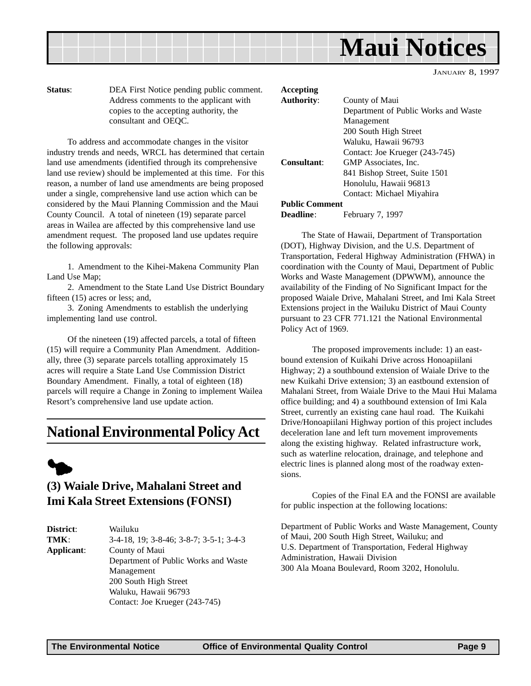<span id="page-8-0"></span>

**Status**: DEA First Notice pending public comment. Address comments to the applicant with copies to the accepting authority, the consultant and OEQC.

To address and accommodate changes in the visitor industry trends and needs, WRCL has determined that certain land use amendments (identified through its comprehensive land use review) should be implemented at this time. For this reason, a number of land use amendments are being proposed under a single, comprehensive land use action which can be considered by the Maui Planning Commission and the Maui County Council. A total of nineteen (19) separate parcel areas in Wailea are affected by this comprehensive land use amendment request. The proposed land use updates require the following approvals:

1. Amendment to the Kihei-Makena Community Plan Land Use Map;

2. Amendment to the State Land Use District Boundary fifteen (15) acres or less; and,

3. Zoning Amendments to establish the underlying implementing land use control.

Of the nineteen (19) affected parcels, a total of fifteen (15) will require a Community Plan Amendment. Additionally, three (3) separate parcels totalling approximately 15 acres will require a State Land Use Commission District Boundary Amendment. Finally, a total of eighteen (18) parcels will require a Change in Zoning to implement Wailea Resort's comprehensive land use update action.

### **National Environmental Policy Act**



### **(3) Waiale Drive, Mahalani Street and Imi Kala Street Extensions (FONSI)**

| District:                            | Wailuku                                 |  |  |
|--------------------------------------|-----------------------------------------|--|--|
| TMK:                                 | 3-4-18, 19; 3-8-46; 3-8-7; 3-5-1; 3-4-3 |  |  |
| Applicant:                           | County of Maui                          |  |  |
| Department of Public Works and Waste |                                         |  |  |
|                                      | Management                              |  |  |
|                                      | 200 South High Street                   |  |  |
|                                      | Waluku, Hawaii 96793                    |  |  |
|                                      | Contact: Joe Krueger (243-745)          |  |  |
|                                      |                                         |  |  |

| Accepting             |                                      |
|-----------------------|--------------------------------------|
| <b>Authority:</b>     | County of Maui                       |
|                       | Department of Public Works and Waste |
|                       | Management                           |
|                       | 200 South High Street                |
|                       | Waluku, Hawaii 96793                 |
|                       | Contact: Joe Krueger (243-745)       |
| Consultant:           | GMP Associates, Inc.                 |
|                       | 841 Bishop Street, Suite 1501        |
|                       | Honolulu, Hawaii 96813               |
|                       | Contact: Michael Miyahira            |
| <b>Public Comment</b> |                                      |
| Deadline:             | February 7, 1997                     |

The State of Hawaii, Department of Transportation (DOT), Highway Division, and the U.S. Department of Transportation, Federal Highway Administration (FHWA) in coordination with the County of Maui, Department of Public Works and Waste Management (DPWWM), announce the availability of the Finding of No Significant Impact for the proposed Waiale Drive, Mahalani Street, and Imi Kala Street Extensions project in the Wailuku District of Maui County pursuant to 23 CFR 771.121 the National Environmental Policy Act of 1969.

The proposed improvements include: 1) an eastbound extension of Kuikahi Drive across Honoapiilani Highway; 2) a southbound extension of Waiale Drive to the new Kuikahi Drive extension; 3) an eastbound extension of Mahalani Street, from Waiale Drive to the Maui Hui Malama office building; and 4) a southbound extension of Imi Kala Street, currently an existing cane haul road. The Kuikahi Drive/Honoapiilani Highway portion of this project includes deceleration lane and left turn movement improvements along the existing highway. Related infrastructure work, such as waterline relocation, drainage, and telephone and electric lines is planned along most of the roadway extensions.

Copies of the Final EA and the FONSI are available for public inspection at the following locations:

Department of Public Works and Waste Management, County of Maui, 200 South High Street, Wailuku; and U.S. Department of Transportation, Federal Highway Administration, Hawaii Division 300 Ala Moana Boulevard, Room 3202, Honolulu.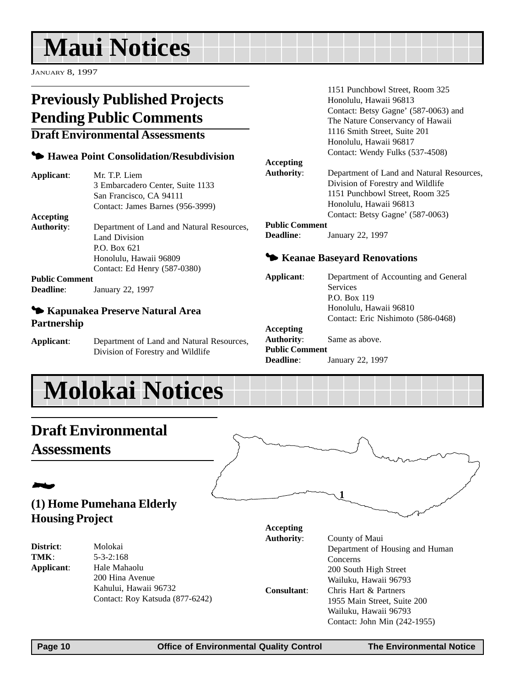## <span id="page-9-0"></span>**Maui Notices**

JANUARY 8, 1997

### **Previously Published Projects Pending Public Comments**

### **Draft Environmental Assessments**

### 3 **Hawea Point Consolidation/Resubdivision**

| Applicant:            | Mr. T.P. Liem                             |
|-----------------------|-------------------------------------------|
|                       | 3 Embarcadero Center, Suite 1133          |
|                       | San Francisco, CA 94111                   |
|                       | Contact: James Barnes (956-3999)          |
| Accepting             |                                           |
| <b>Authority:</b>     | Department of Land and Natural Resources, |
|                       | Land Division                             |
|                       | P.O. Box 621                              |
|                       | Honolulu, Hawaii 96809                    |
|                       | Contact: Ed Henry (587-0380)              |
| <b>Public Comment</b> |                                           |
| <b>Deadline:</b>      | January 22, 1997                          |

### 3 **Kapunakea Preserve Natural Area**

**Partnership**

**Applicant**: Department of Land and Natural Resources, Division of Forestry and Wildlife

#### 1151 Punchbowl Street, Room 325 Honolulu, Hawaii 96813 Contact: Betsy Gagne' (587-0063) and The Nature Conservancy of Hawaii 1116 Smith Street, Suite 201 Honolulu, Hawaii 96817 Contact: Wendy Fulks (537-4508)

#### **Accepting**

**Authority**: Department of Land and Natural Resources, Division of Forestry and Wildlife 1151 Punchbowl Street, Room 325 Honolulu, Hawaii 96813 Contact: Betsy Gagne' (587-0063)

#### **Public Comment**

**Deadline**: January 22, 1997

### **<sup>** $\blacktriangleright$ **</sup> Keanae Baseyard Renovations**

**Applicant**: Department of Accounting and General Services P.O. Box 119 Honolulu, Hawaii 96810 Contact: Eric Nishimoto (586-0468) **Accepting Authority**: Same as above. **Public Comment Deadline**: January 22, 1997

**1**

## **Molokai Notices**

### **Draft Environmental Assessments**

### 2 **(1) Home Pumehana Elderly Housing Project**

**District**: Molokai

**TMK**: 5-3-2:168 **Applicant**: Hale Mahaolu 200 Hina Avenue Kahului, Hawaii 96732 Contact: Roy Katsuda (877-6242) **Accepting Authority**: County of Maui

Department of Housing and Human **Concerns** 200 South High Street Wailuku, Hawaii 96793 **Consultant**: Chris Hart & Partners 1955 Main Street, Suite 200 Wailuku, Hawaii 96793 Contact: John Min (242-1955)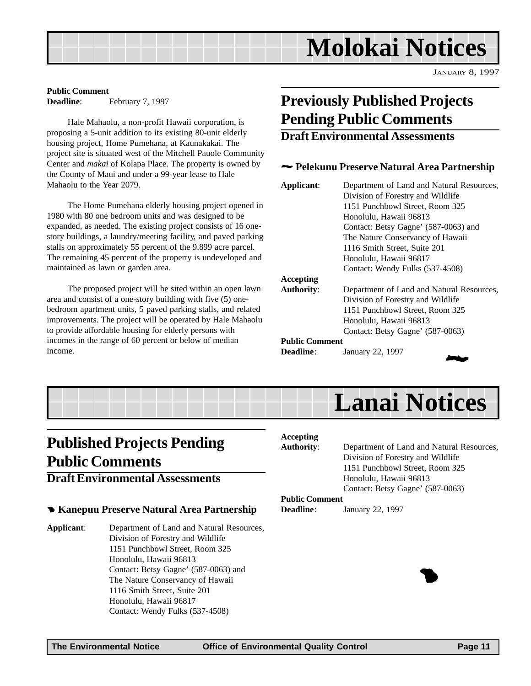

**Public Comment Deadline:** February 7, 1997

Hale Mahaolu, a non-profit Hawaii corporation, is proposing a 5-unit addition to its existing 80-unit elderly housing project, Home Pumehana, at Kaunakakai. The project site is situated west of the Mitchell Pauole Community Center and *makai* of Kolapa Place. The property is owned by the County of Maui and under a 99-year lease to Hale Mahaolu to the Year 2079.

The Home Pumehana elderly housing project opened in 1980 with 80 one bedroom units and was designed to be expanded, as needed. The existing project consists of 16 onestory buildings, a laundry/meeting facility, and paved parking stalls on approximately 55 percent of the 9.899 acre parcel. The remaining 45 percent of the property is undeveloped and maintained as lawn or garden area.

The proposed project will be sited within an open lawn area and consist of a one-story building with five (5) onebedroom apartment units, 5 paved parking stalls, and related improvements. The project will be operated by Hale Mahaolu to provide affordable housing for elderly persons with incomes in the range of 60 percent or below of median income.

### **Previously Published Projects Pending Public Comments**

### **Draft Environmental Assessments**

### 2 **Pelekunu Preserve Natural Area Partnership**

| Applicant:            | Department of Land and Natural Resources,<br>Division of Forestry and Wildlife<br>1151 Punchbowl Street, Room 325 |  |  |  |
|-----------------------|-------------------------------------------------------------------------------------------------------------------|--|--|--|
|                       | Honolulu, Hawaii 96813                                                                                            |  |  |  |
|                       | Contact: Betsy Gagne' (587-0063) and                                                                              |  |  |  |
|                       | The Nature Conservancy of Hawaii                                                                                  |  |  |  |
|                       | 1116 Smith Street, Suite 201                                                                                      |  |  |  |
|                       | Honolulu, Hawaii 96817                                                                                            |  |  |  |
|                       | Contact: Wendy Fulks (537-4508)                                                                                   |  |  |  |
| Accepting             |                                                                                                                   |  |  |  |
| <b>Authority:</b>     | Department of Land and Natural Resources,                                                                         |  |  |  |
|                       | Division of Forestry and Wildlife                                                                                 |  |  |  |
|                       | 1151 Punchbowl Street, Room 325                                                                                   |  |  |  |
|                       | Honolulu, Hawaii 96813                                                                                            |  |  |  |
|                       | Contact: Betsy Gagne' (587-0063)                                                                                  |  |  |  |
| <b>Public Comment</b> |                                                                                                                   |  |  |  |

**Deadline**: January 22, 1997





### **Published Projects Pending Public Comments**

### **Draft Environmental Assessments**

### 4 **Kanepuu Preserve Natural Area Partnership**

**Applicant**: Department of Land and Natural Resources, Division of Forestry and Wildlife 1151 Punchbowl Street, Room 325 Honolulu, Hawaii 96813 Contact: Betsy Gagne' (587-0063) and The Nature Conservancy of Hawaii 1116 Smith Street, Suite 201 Honolulu, Hawaii 96817 Contact: Wendy Fulks (537-4508)

#### **Accepting**

**Authority**: Department of Land and Natural Resources, Division of Forestry and Wildlife 1151 Punchbowl Street, Room 325 Honolulu, Hawaii 96813 Contact: Betsy Gagne' (587-0063)

1

### **Public Comment**

**Deadline**: January 22, 1997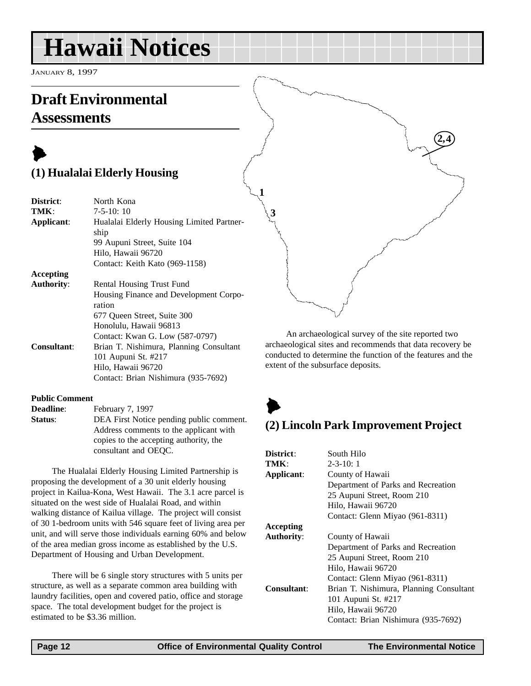## <span id="page-11-0"></span>**Hawaii Notices**

JANUARY 8, 1997

### **Draft Environmental Assessments**

### $\blacktriangleright$ **(1) Hualalai Elderly Housing**

| District:          | North Kona                                |  |  |  |
|--------------------|-------------------------------------------|--|--|--|
| TMK:               | $7-5-10:10$                               |  |  |  |
| Applicant:         | Hualalai Elderly Housing Limited Partner- |  |  |  |
|                    | ship                                      |  |  |  |
|                    | 99 Aupuni Street, Suite 104               |  |  |  |
|                    | Hilo, Hawaii 96720                        |  |  |  |
|                    | Contact: Keith Kato (969-1158)            |  |  |  |
| Accepting          |                                           |  |  |  |
| <b>Authority:</b>  | Rental Housing Trust Fund                 |  |  |  |
|                    | Housing Finance and Development Corpo-    |  |  |  |
|                    | ration                                    |  |  |  |
|                    | 677 Queen Street, Suite 300               |  |  |  |
|                    | Honolulu, Hawaii 96813                    |  |  |  |
|                    | Contact: Kwan G. Low (587-0797)           |  |  |  |
| <b>Consultant:</b> | Brian T. Nishimura, Planning Consultant   |  |  |  |
|                    | 101 Aupuni St. #217                       |  |  |  |
|                    | Hilo, Hawaii 96720                        |  |  |  |
|                    | Contact: Brian Nishimura (935-7692)       |  |  |  |

#### **Public Comment**

**Deadline**: February 7, 1997 **Status**: DEA First Notice pending public comment. Address comments to the applicant with copies to the accepting authority, the consultant and OEQC.

The Hualalai Elderly Housing Limited Partnership is proposing the development of a 30 unit elderly housing project in Kailua-Kona, West Hawaii. The 3.1 acre parcel is situated on the west side of Hualalai Road, and within walking distance of Kailua village. The project will consist of 30 1-bedroom units with 546 square feet of living area per unit, and will serve those individuals earning 60% and below of the area median gross income as established by the U.S. Department of Housing and Urban Development.

There will be 6 single story structures with 5 units per structure, as well as a separate common area building with laundry facilities, open and covered patio, office and storage space. The total development budget for the project is estimated to be \$3.36 million.

**4 2, 3**

An archaeological survey of the site reported two archaeological sites and recommends that data recovery be conducted to determine the function of the features and the extent of the subsurface deposits.

### $\blacktriangleright$

**1**

### **(2) Lincoln Park Improvement Project**

| District:          | South Hilo                              |  |
|--------------------|-----------------------------------------|--|
| TMK:               | $2 - 3 - 10:1$                          |  |
| Applicant:         | County of Hawaii                        |  |
|                    | Department of Parks and Recreation      |  |
|                    | 25 Aupuni Street, Room 210              |  |
|                    | Hilo, Hawaii 96720                      |  |
|                    | Contact: Glenn Miyao (961-8311)         |  |
| Accepting          |                                         |  |
| <b>Authority:</b>  | County of Hawaii                        |  |
|                    | Department of Parks and Recreation      |  |
|                    | 25 Aupuni Street, Room 210              |  |
|                    | Hilo, Hawaii 96720                      |  |
|                    | Contact: Glenn Miyao (961-8311)         |  |
| <b>Consultant:</b> | Brian T. Nishimura, Planning Consultant |  |
|                    | 101 Aupuni St. #217                     |  |
|                    | Hilo, Hawaii 96720                      |  |
|                    | Contact: Brian Nishimura (935-7692)     |  |
|                    |                                         |  |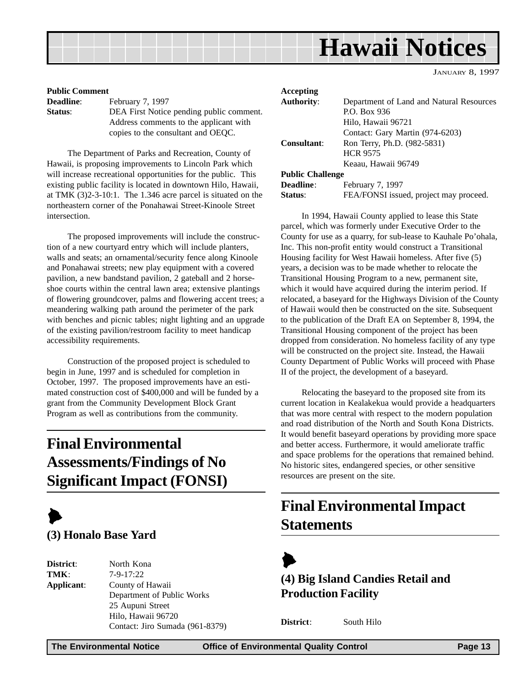<span id="page-12-0"></span>

#### **Public Comment**

**Deadline:** February 7, 1997 **Status**: DEA First Notice pending public comment. Address comments to the applicant with copies to the consultant and OEQC.

The Department of Parks and Recreation, County of Hawaii, is proposing improvements to Lincoln Park which will increase recreational opportunities for the public. This existing public facility is located in downtown Hilo, Hawaii, at TMK (3)2-3-10:1. The 1.346 acre parcel is situated on the northeastern corner of the Ponahawai Street-Kinoole Street intersection.

The proposed improvements will include the construction of a new courtyard entry which will include planters, walls and seats; an ornamental/security fence along Kinoole and Ponahawai streets; new play equipment with a covered pavilion, a new bandstand pavilion, 2 gateball and 2 horseshoe courts within the central lawn area; extensive plantings of flowering groundcover, palms and flowering accent trees; a meandering walking path around the perimeter of the park with benches and picnic tables; night lighting and an upgrade of the existing pavilion/restroom facility to meet handicap accessibility requirements.

Construction of the proposed project is scheduled to begin in June, 1997 and is scheduled for completion in October, 1997. The proposed improvements have an estimated construction cost of \$400,000 and will be funded by a grant from the Community Development Block Grant Program as well as contributions from the community.

### **Final Environmental Assessments/Findings of No Significant Impact (FONSI)**



**District**: North Kona **TMK**: 7-9-17:22 **Applicant**: County of Hawaii Department of Public Works 25 Aupuni Street Hilo, Hawaii 96720 Contact: Jiro Sumada (961-8379)

| Accepting                                         |                                          |  |
|---------------------------------------------------|------------------------------------------|--|
| <b>Authority:</b>                                 | Department of Land and Natural Resources |  |
|                                                   | P.O. Box 936                             |  |
|                                                   | Hilo, Hawaii 96721                       |  |
|                                                   | Contact: Gary Martin (974-6203)          |  |
| <b>Consultant:</b><br>Ron Terry, Ph.D. (982-5831) |                                          |  |
|                                                   | <b>HCR 9575</b>                          |  |
|                                                   | Keaau, Hawaii 96749                      |  |
| <b>Public Challenge</b>                           |                                          |  |
| Deadline:                                         | February 7, 1997                         |  |
| <b>Status:</b>                                    | FEA/FONSI issued, project may proceed.   |  |

In 1994, Hawaii County applied to lease this State parcel, which was formerly under Executive Order to the County for use as a quarry, for sub-lease to Kauhale Po'ohala, Inc. This non-profit entity would construct a Transitional Housing facility for West Hawaii homeless. After five (5) years, a decision was to be made whether to relocate the Transitional Housing Program to a new, permanent site, which it would have acquired during the interim period. If relocated, a baseyard for the Highways Division of the County of Hawaii would then be constructed on the site. Subsequent to the publication of the Draft EA on September 8, 1994, the Transitional Housing component of the project has been dropped from consideration. No homeless facility of any type will be constructed on the project site. Instead, the Hawaii County Department of Public Works will proceed with Phase II of the project, the development of a baseyard.

Relocating the baseyard to the proposed site from its current location in Kealakekua would provide a headquarters that was more central with respect to the modern population and road distribution of the North and South Kona Districts. It would benefit baseyard operations by providing more space and better access. Furthermore, it would ameliorate traffic and space problems for the operations that remained behind. No historic sites, endangered species, or other sensitive resources are present on the site.

### **Final Environmental Impact Statements**



**(4) Big Island Candies Retail and Production Facility**

**District**: South Hilo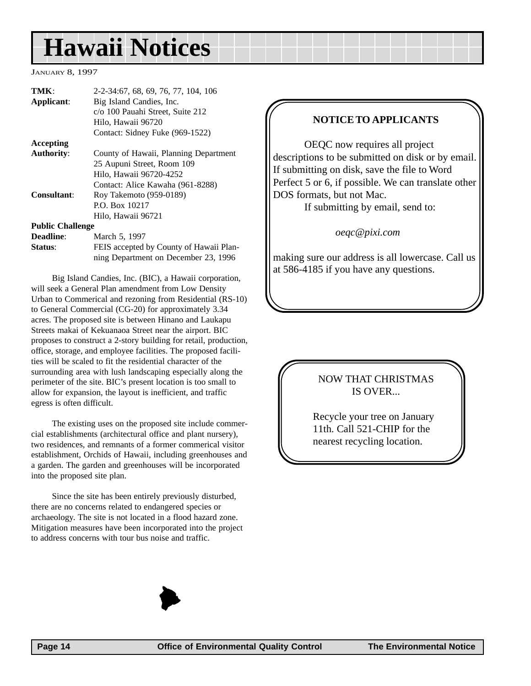## <span id="page-13-0"></span>**Hawaii Notices**

#### JANUARY 8, 1997

| TMK:<br>Applicant:      | 2-2-34:67, 68, 69, 76, 77, 104, 106<br>Big Island Candies, Inc. |  |  |
|-------------------------|-----------------------------------------------------------------|--|--|
|                         | c/o 100 Pauahi Street, Suite 212                                |  |  |
|                         | Hilo, Hawaii 96720                                              |  |  |
|                         | Contact: Sidney Fuke (969-1522)                                 |  |  |
| Accepting               |                                                                 |  |  |
| <b>Authority:</b>       | County of Hawaii, Planning Department                           |  |  |
|                         | 25 Aupuni Street, Room 109                                      |  |  |
|                         | Hilo, Hawaii 96720-4252                                         |  |  |
|                         | Contact: Alice Kawaha (961-8288)                                |  |  |
| Consultant:             | Roy Takemoto (959-0189)                                         |  |  |
|                         | P.O. Box 10217                                                  |  |  |
|                         | Hilo, Hawaii 96721                                              |  |  |
| <b>Public Challenge</b> |                                                                 |  |  |
| <b>Deadline:</b>        | March 5, 1997                                                   |  |  |
|                         |                                                                 |  |  |

**Status**: FEIS accepted by County of Hawaii Planning Department on December 23, 1996

Big Island Candies, Inc. (BIC), a Hawaii corporation, will seek a General Plan amendment from Low Density Urban to Commerical and rezoning from Residential (RS-10) to General Commercial (CG-20) for approximately 3.34 acres. The proposed site is between Hinano and Laukapu Streets makai of Kekuanaoa Street near the airport. BIC proposes to construct a 2-story building for retail, production, office, storage, and employee facilities. The proposed facilities will be scaled to fit the residential character of the surrounding area with lush landscaping especially along the perimeter of the site. BIC's present location is too small to allow for expansion, the layout is inefficient, and traffic egress is often difficult.

The existing uses on the proposed site include commercial establishments (architectural office and plant nursery), two residences, and remnants of a former commerical visitor establishment, Orchids of Hawaii, including greenhouses and a garden. The garden and greenhouses will be incorporated into the proposed site plan.

Since the site has been entirely previously disturbed, there are no concerns related to endangered species or archaeology. The site is not located in a flood hazard zone. Mitigation measures have been incorporated into the project to address concerns with tour bus noise and traffic.

### **NOTICE TO APPLICANTS**

OEQC now requires all project descriptions to be submitted on disk or by email. If submitting on disk, save the file to Word Perfect 5 or 6, if possible. We can translate other DOS formats, but not Mac.

If submitting by email, send to:

*oeqc@pixi.com*

making sure our address is all lowercase. Call us at 586-4185 if you have any questions.

### NOW THAT CHRISTMAS IS OVER...

Recycle your tree on January 11th. Call 521-CHIP for the nearest recycling location.

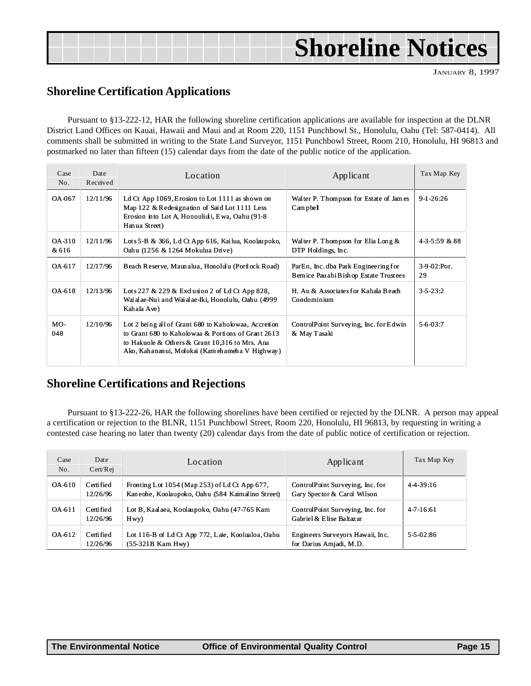## **Shoreline Notices**

JANUARY 8, 1997

### **Shoreline Certification Applications**

Pursuant to §13-222-12, HAR the following shoreline certification applications are available for inspection at the DLNR District Land Offices on Kauai, Hawaii and Maui and at Room 220, 1151 Punchbowl St., Honolulu, Oahu (Tel: 587-0414). All comments shall be submitted in writing to the State Land Surveyor, 1151 Punchbowl Street, Room 210, Honolulu, HI 96813 and postmarked no later than fifteen (15) calendar days from the date of the public notice of the application.

| Case<br>No.     | Date<br>Received | Location                                                                                                                                                                                                       | Applicant                                                                      | Tax Map Key          |
|-----------------|------------------|----------------------------------------------------------------------------------------------------------------------------------------------------------------------------------------------------------------|--------------------------------------------------------------------------------|----------------------|
| OA-067          | 12/11/96         | Ld Ct App 1069, Erosion to Lot 1111 as shown on<br>Map 122 & Redesignation of Said Lot 1111 Less<br>Erosion into Lot A, Honouliuli, Ewa, Oahu (91-8)<br>Hanua Street)                                          | Walter P. Thompson for Estate of James<br>$Cam$ pbel                           | $9-1-26:26$          |
| OA-310<br>& 616 | 12/11/96         | Lots 5-B & 366, Ld Ct App 616, Kai lua, Koolau poko,<br>Oahu (1256 & 1264 Mokulua Drive)                                                                                                                       | Walter P. Thompson for Elia Long $\&$<br>DTP Holdings, Inc.                    | $4 - 3 - 5:59 \& 88$ |
| OA-617          | 12/17/96         | Beach Reserve, Maunalua, Honolulu (Portlock Road)                                                                                                                                                              | ParEn, Inc. dba Park Engineering for<br>Bernice Pau ahi Bishop Estate Trustees | $3-9-02$ :Por.<br>29 |
| OA-618          | 12/13/96         | Lots 227 & 229 & Exclusion 2 of Ld Ct App 828,<br>Wai al ae-Nui and Wai al ae-Iki, Honolulu, Oahu (4999)<br>Kahala Ave)                                                                                        | H. Au & Associates for Kahala Beach<br>Condominium                             | $3 - 5 - 23:2$       |
| $MO-$<br>048    | 12/10/96         | Lot 2 being all of Grant 680 to Kaholowaa, Accretion<br>to Grant 680 to Kaholowaa & Portions of Grant 2613<br>to Hakuole & Others & Grant 10.316 to Mrs. Ana<br>Ako, Kahananui, Molokai (Kamehameha V Highway) | ControlPoint Surveying, Inc. for Edwin<br>& May Tasaki                         | $5 - 6 - 03:7$       |

### **Shoreline Certifications and Rejections**

Pursuant to §13-222-26, HAR the following shorelines have been certified or rejected by the DLNR. A person may appeal a certification or rejection to the BLNR, 1151 Punchbowl Street, Room 220, Honolulu, HI 96813, by requesting in writing a contested case hearing no later than twenty (20) calendar days from the date of public notice of certification or rejection.

| Case<br>No. | Date<br>Cert/Rej       | Location                                                                                          | Applicant                                                       | Tax Map Key     |
|-------------|------------------------|---------------------------------------------------------------------------------------------------|-----------------------------------------------------------------|-----------------|
| OA-610      | Certi fied<br>12/26/96 | Fronting Lot 1054 (Map 253) of Ld Ct App 677,<br>Kaneohe, Koolaupoko, Oahu (584 Kaimalino Street) | ControlPoint Surveying, Inc. for<br>Gary Spector & Carol Wilson | $4-4-39:16$     |
| OA-611      | Certi fied<br>12/26/96 | Lot B, Kaalaea, Koolaupoko, Oahu (47-765 Kam<br>Hwy)                                              | ControlPoint Surveying, Inc. for<br>Gabriel & Elise Baltazar    | $4 - 7 - 16:61$ |
| OA-612      | Certi fied<br>12/26/96 | Lot 116-B of Ld Ct App 772, Laie, Koolualoa, Oahu<br>$(55-321B$ Kam Hwy)                          | Engineers Surveyors Hawaii, Inc.<br>for Darius Amjadi, M.D.     | $5 - 5 - 02:86$ |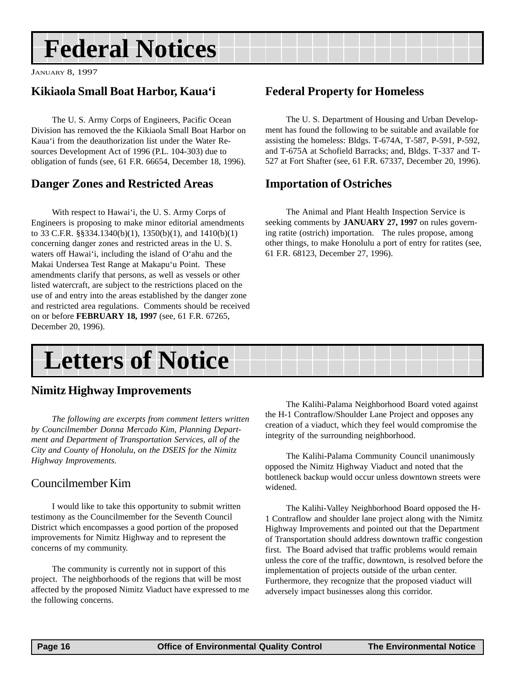## **Federal Notices**

JANUARY 8, 1997

### **Kikiaola Small Boat Harbor, Kaua'i**

The U. S. Army Corps of Engineers, Pacific Ocean Division has removed the the Kikiaola Small Boat Harbor on Kaua'i from the deauthorization list under the Water Resources Development Act of 1996 (P.L. 104-303) due to obligation of funds (see, 61 F.R. 66654, December 18, 1996).

### **Danger Zones and Restricted Areas**

With respect to Hawai'i, the U. S. Army Corps of Engineers is proposing to make minor editorial amendments to 33 C.F.R. §§334.1340(b)(1), 1350(b)(1), and 1410(b)(1) concerning danger zones and restricted areas in the U. S. waters off Hawai'i, including the island of O'ahu and the Makai Undersea Test Range at Makapu'u Point. These amendments clarify that persons, as well as vessels or other listed watercraft, are subject to the restrictions placed on the use of and entry into the areas established by the danger zone and restricted area regulations. Comments should be received on or before **FEBRUARY 18, 1997** (see, 61 F.R. 67265, December 20, 1996).

### **Federal Property for Homeless**

The U. S. Department of Housing and Urban Development has found the following to be suitable and available for assisting the homeless: Bldgs. T-674A, T-587, P-591, P-592, and T-675A at Schofield Barracks; and, Bldgs. T-337 and T-527 at Fort Shafter (see, 61 F.R. 67337, December 20, 1996).

### **Importation of Ostriches**

The Animal and Plant Health Inspection Service is seeking comments by **JANUARY 27, 1997** on rules governing ratite (ostrich) importation. The rules propose, among other things, to make Honolulu a port of entry for ratites (see, 61 F.R. 68123, December 27, 1996).

## **Letters of Notice**

### **Nimitz Highway Improvements**

*The following are excerpts from comment letters written by Councilmember Donna Mercado Kim, Planning Department and Department of Transportation Services, all of the City and County of Honolulu, on the DSEIS for the Nimitz Highway Improvements.*

### Councilmember Kim

I would like to take this opportunity to submit written testimony as the Councilmember for the Seventh Council District which encompasses a good portion of the proposed improvements for Nimitz Highway and to represent the concerns of my community.

The community is currently not in support of this project. The neighborhoods of the regions that will be most affected by the proposed Nimitz Viaduct have expressed to me the following concerns.

The Kalihi-Palama Neighborhood Board voted against the H-1 Contraflow/Shoulder Lane Project and opposes any creation of a viaduct, which they feel would compromise the integrity of the surrounding neighborhood.

The Kalihi-Palama Community Council unanimously opposed the Nimitz Highway Viaduct and noted that the bottleneck backup would occur unless downtown streets were widened.

The Kalihi-Valley Neighborhood Board opposed the H-1 Contraflow and shoulder lane project along with the Nimitz Highway Improvements and pointed out that the Department of Transportation should address downtown traffic congestion first. The Board advised that traffic problems would remain unless the core of the traffic, downtown, is resolved before the implementation of projects outside of the urban center. Furthermore, they recognize that the proposed viaduct will adversely impact businesses along this corridor.